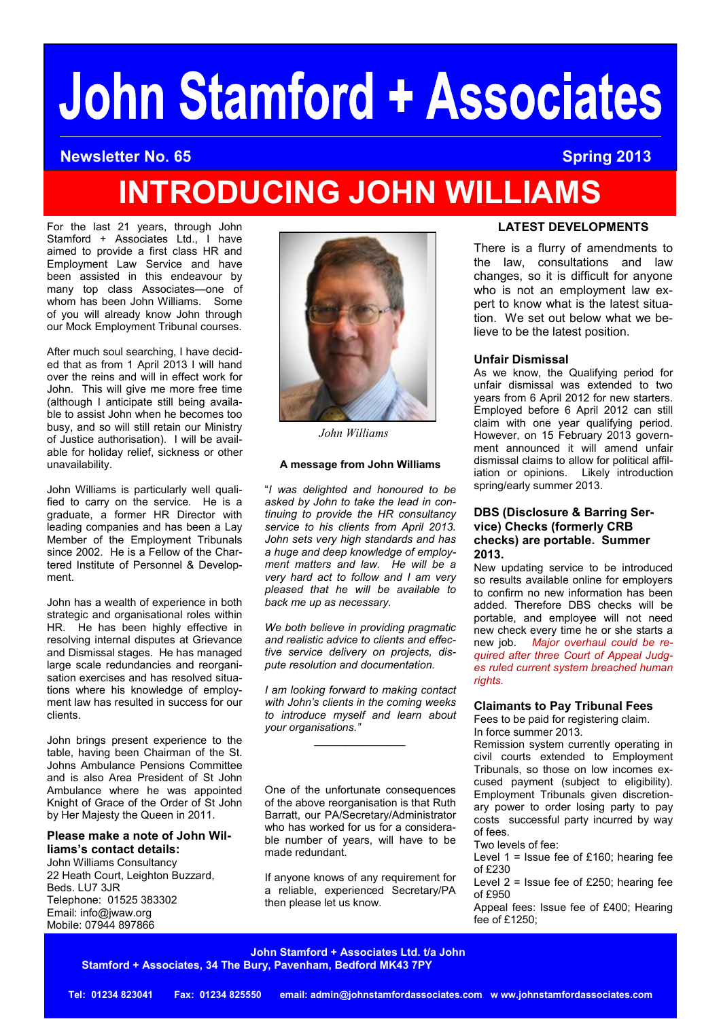# **John Stamford + Associates**

#### **Newsletter No. 65 Spring 2013**

## **INTRODUCING JOHN WILLIAMS**

For the last 21 years, through John Stamford + Associates Ltd., I have aimed to provide a first class HR and Employment Law Service and have been assisted in this endeavour by many top class Associates—one of whom has been John Williams. Some of you will already know John through our Mock Employment Tribunal courses.

After much soul searching, I have decided that as from 1 April 2013 I will hand over the reins and will in effect work for John. This will give me more free time (although I anticipate still being available to assist John when he becomes too busy, and so will still retain our Ministry of Justice authorisation). I will be available for holiday relief, sickness or other unavailability.

John Williams is particularly well qualified to carry on the service. He is a graduate, a former HR Director with leading companies and has been a Lay Member of the Employment Tribunals since 2002. He is a Fellow of the Chartered Institute of Personnel & Development.

John has a wealth of experience in both strategic and organisational roles within HR. He has been highly effective in resolving internal disputes at Grievance and Dismissal stages. He has managed large scale redundancies and reorganisation exercises and has resolved situations where his knowledge of employment law has resulted in success for our clients.

John brings present experience to the table, having been Chairman of the St. Johns Ambulance Pensions Committee and is also Area President of St John Ambulance where he was appointed Knight of Grace of the Order of St John by Her Majesty the Queen in 2011.

#### **Please make a note of John Williams's contact details:**

John Williams Consultancy 22 Heath Court, Leighton Buzzard, Beds. LU7 3JR Telephone: 01525 383302 Email: info@jwaw.org Mobile: 07944 897866



*John Williams*

#### **A message from John Williams**

"*I was delighted and honoured to be asked by John to take the lead in continuing to provide the HR consultancy service to his clients from April 2013. John sets very high standards and has a huge and deep knowledge of employment matters and law. He will be a very hard act to follow and I am very pleased that he will be available to back me up as necessary.*

*We both believe in providing pragmatic and realistic advice to clients and effective service delivery on projects, dispute resolution and documentation.*

*I am looking forward to making contact with John's clients in the coming weeks to introduce myself and learn about your organisations."*

*\_\_\_\_\_\_\_\_\_\_\_\_\_\_\_*

One of the unfortunate consequences of the above reorganisation is that Ruth Barratt, our PA/Secretary/Administrator who has worked for us for a considerable number of years, will have to be made redundant.

If anyone knows of any requirement for a reliable, experienced Secretary/PA then please let us know.

#### **LATEST DEVELOPMENTS**

There is a flurry of amendments to the law, consultations and law changes, so it is difficult for anyone who is not an employment law expert to know what is the latest situation. We set out below what we believe to be the latest position.

#### **Unfair Dismissal**

As we know, the Qualifying period for unfair dismissal was extended to two years from 6 April 2012 for new starters. Employed before 6 April 2012 can still claim with one year qualifying period. However, on 15 February 2013 government announced it will amend unfair dismissal claims to allow for political affiliation or opinions. Likely introduction spring/early summer 2013.

#### **DBS (Disclosure & Barring Service) Checks (formerly CRB checks) are portable. Summer 2013.**

New updating service to be introduced so results available online for employers to confirm no new information has been added. Therefore DBS checks will be portable, and employee will not need new check every time he or she starts a new job. *Major overhaul could be required after three Court of Appeal Judges ruled current system breached human rights.*

### **Claimants to Pay Tribunal Fees**

Fees to be paid for registering claim. In force summer 2013.

Remission system currently operating in civil courts extended to Employment Tribunals, so those on low incomes excused payment (subject to eligibility). Employment Tribunals given discretionary power to order losing party to pay costs successful party incurred by way of fees.

Two levels of fee:

Level  $1 =$  Issue fee of £160; hearing fee of £230

Level 2 = Issue fee of £250; hearing fee of £950

Appeal fees: Issue fee of £400; Hearing fee of £1250;

**John Stamford + Associates Ltd. t/a John Stamford + Associates, 34 The Bury, Pavenham, Bedford MK43 7PY**